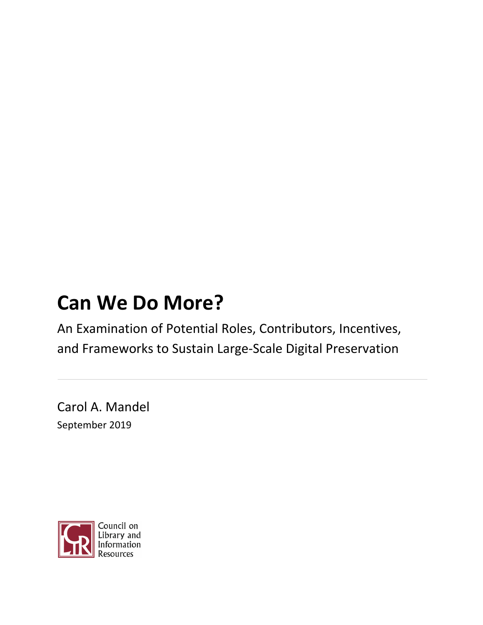# **Can We Do More?**

An Examination of Potential Roles, Contributors, Incentives, and Frameworks to Sustain Large-Scale Digital Preservation

Carol A. Mandel September 2019

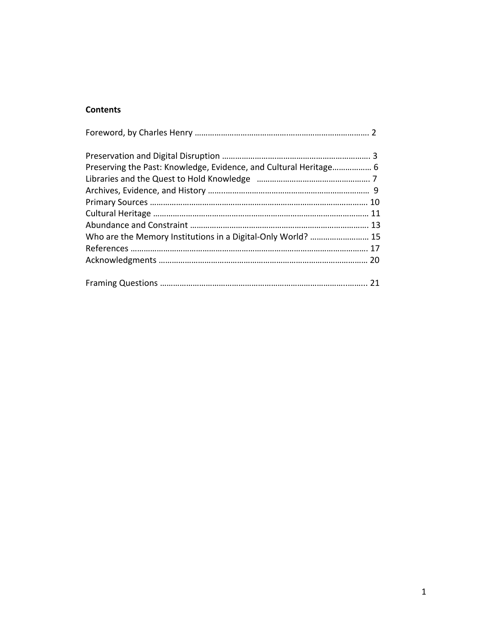# **Contents**

| Preserving the Past: Knowledge, Evidence, and Cultural Heritage 6 |  |
|-------------------------------------------------------------------|--|
|                                                                   |  |
|                                                                   |  |
|                                                                   |  |
|                                                                   |  |
|                                                                   |  |
| Who are the Memory Institutions in a Digital-Only World?  15      |  |
|                                                                   |  |
|                                                                   |  |
|                                                                   |  |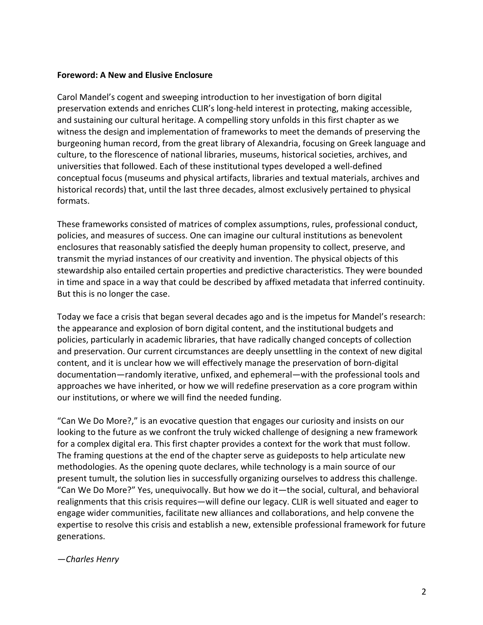#### **Foreword: A New and Elusive Enclosure**

Carol Mandel's cogent and sweeping introduction to her investigation of born digital preservation extends and enriches CLIR's long-held interest in protecting, making accessible, and sustaining our cultural heritage. A compelling story unfolds in this first chapter as we witness the design and implementation of frameworks to meet the demands of preserving the burgeoning human record, from the great library of Alexandria, focusing on Greek language and culture, to the florescence of national libraries, museums, historical societies, archives, and universities that followed. Each of these institutional types developed a well-defined conceptual focus (museums and physical artifacts, libraries and textual materials, archives and historical records) that, until the last three decades, almost exclusively pertained to physical formats.

These frameworks consisted of matrices of complex assumptions, rules, professional conduct, policies, and measures of success. One can imagine our cultural institutions as benevolent enclosures that reasonably satisfied the deeply human propensity to collect, preserve, and transmit the myriad instances of our creativity and invention. The physical objects of this stewardship also entailed certain properties and predictive characteristics. They were bounded in time and space in a way that could be described by affixed metadata that inferred continuity. But this is no longer the case.

Today we face a crisis that began several decades ago and is the impetus for Mandel's research: the appearance and explosion of born digital content, and the institutional budgets and policies, particularly in academic libraries, that have radically changed concepts of collection and preservation. Our current circumstances are deeply unsettling in the context of new digital content, and it is unclear how we will effectively manage the preservation of born-digital documentation—randomly iterative, unfixed, and ephemeral—with the professional tools and approaches we have inherited, or how we will redefine preservation as a core program within our institutions, or where we will find the needed funding.

"Can We Do More?," is an evocative question that engages our curiosity and insists on our looking to the future as we confront the truly wicked challenge of designing a new framework for a complex digital era. This first chapter provides a context for the work that must follow. The framing questions at the end of the chapter serve as guideposts to help articulate new methodologies. As the opening quote declares, while technology is a main source of our present tumult, the solution lies in successfully organizing ourselves to address this challenge. "Can We Do More?" Yes, unequivocally. But how we do it—the social, cultural, and behavioral realignments that this crisis requires—will define our legacy. CLIR is well situated and eager to engage wider communities, facilitate new alliances and collaborations, and help convene the expertise to resolve this crisis and establish a new, extensible professional framework for future generations.

#### *—Charles Henry*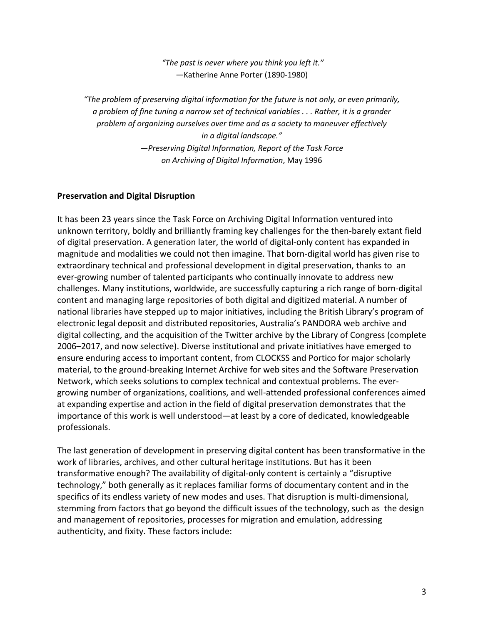*"The past is never where you think you left it."* —Katherine Anne Porter (1890-1980)

*"The problem of preserving digital information for the future is not only, or even primarily, a problem of fine tuning a narrow set of technical variables . . . Rather, it is a grander problem of organizing ourselves over time and as a society to maneuver effectively in a digital landscape." —Preserving Digital Information, Report of the Task Force on Archiving of Digital Information*, May 1996

## **Preservation and Digital Disruption**

It has been 23 years since the Task Force on Archiving Digital Information ventured into unknown territory, boldly and brilliantly framing key challenges for the then-barely extant field of digital preservation. A generation later, the world of digital-only content has expanded in magnitude and modalities we could not then imagine. That born-digital world has given rise to extraordinary technical and professional development in digital preservation, thanks to an ever-growing number of talented participants who continually innovate to address new challenges. Many institutions, worldwide, are successfully capturing a rich range of born-digital content and managing large repositories of both digital and digitized material. A number of national libraries have stepped up to major initiatives, including the British Library's program of electronic legal deposit and distributed repositories, Australia's PANDORA web archive and digital collecting, and the acquisition of the Twitter archive by the Library of Congress (complete 2006–2017, and now selective). Diverse institutional and private initiatives have emerged to ensure enduring access to important content, from CLOCKSS and Portico for major scholarly material, to the ground-breaking Internet Archive for web sites and the Software Preservation Network, which seeks solutions to complex technical and contextual problems. The evergrowing number of organizations, coalitions, and well-attended professional conferences aimed at expanding expertise and action in the field of digital preservation demonstrates that the importance of this work is well understood—at least by a core of dedicated, knowledgeable professionals.

The last generation of development in preserving digital content has been transformative in the work of libraries, archives, and other cultural heritage institutions. But has it been transformative enough? The availability of digital-only content is certainly a "disruptive technology," both generally as it replaces familiar forms of documentary content and in the specifics of its endless variety of new modes and uses. That disruption is multi-dimensional, stemming from factors that go beyond the difficult issues of the technology, such as the design and management of repositories, processes for migration and emulation, addressing authenticity, and fixity. These factors include: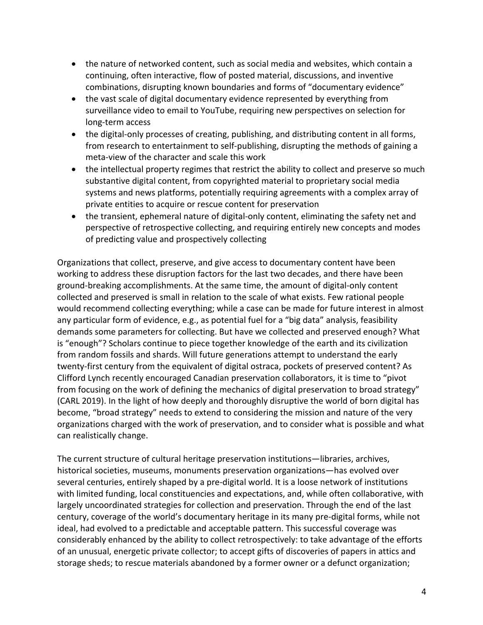- the nature of networked content, such as social media and websites, which contain a continuing, often interactive, flow of posted material, discussions, and inventive combinations, disrupting known boundaries and forms of "documentary evidence"
- the vast scale of digital documentary evidence represented by everything from surveillance video to email to YouTube, requiring new perspectives on selection for long-term access
- the digital-only processes of creating, publishing, and distributing content in all forms, from research to entertainment to self-publishing, disrupting the methods of gaining a meta-view of the character and scale this work
- the intellectual property regimes that restrict the ability to collect and preserve so much substantive digital content, from copyrighted material to proprietary social media systems and news platforms, potentially requiring agreements with a complex array of private entities to acquire or rescue content for preservation
- the transient, ephemeral nature of digital-only content, eliminating the safety net and perspective of retrospective collecting, and requiring entirely new concepts and modes of predicting value and prospectively collecting

Organizations that collect, preserve, and give access to documentary content have been working to address these disruption factors for the last two decades, and there have been ground-breaking accomplishments. At the same time, the amount of digital-only content collected and preserved is small in relation to the scale of what exists. Few rational people would recommend collecting everything; while a case can be made for future interest in almost any particular form of evidence, e.g., as potential fuel for a "big data" analysis, feasibility demands some parameters for collecting. But have we collected and preserved enough? What is "enough"? Scholars continue to piece together knowledge of the earth and its civilization from random fossils and shards. Will future generations attempt to understand the early twenty-first century from the equivalent of digital ostraca, pockets of preserved content? As Clifford Lynch recently encouraged Canadian preservation collaborators, it is time to "pivot from focusing on the work of defining the mechanics of digital preservation to broad strategy" (CARL 2019). In the light of how deeply and thoroughly disruptive the world of born digital has become, "broad strategy" needs to extend to considering the mission and nature of the very organizations charged with the work of preservation, and to consider what is possible and what can realistically change.

The current structure of cultural heritage preservation institutions—libraries, archives, historical societies, museums, monuments preservation organizations—has evolved over several centuries, entirely shaped by a pre-digital world. It is a loose network of institutions with limited funding, local constituencies and expectations, and, while often collaborative, with largely uncoordinated strategies for collection and preservation. Through the end of the last century, coverage of the world's documentary heritage in its many pre-digital forms, while not ideal, had evolved to a predictable and acceptable pattern. This successful coverage was considerably enhanced by the ability to collect retrospectively: to take advantage of the efforts of an unusual, energetic private collector; to accept gifts of discoveries of papers in attics and storage sheds; to rescue materials abandoned by a former owner or a defunct organization;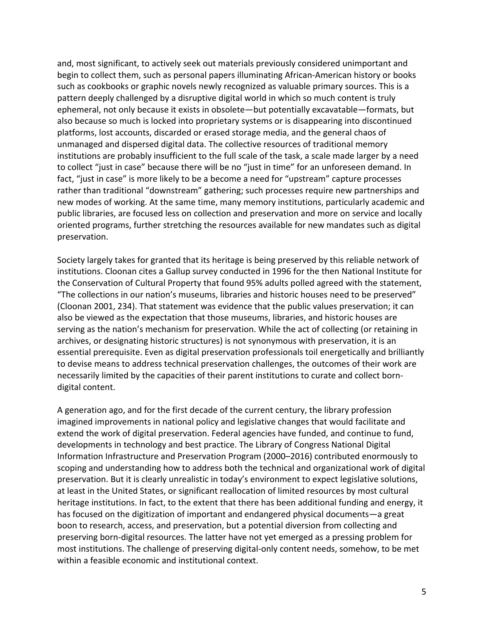and, most significant, to actively seek out materials previously considered unimportant and begin to collect them, such as personal papers illuminating African-American history or books such as cookbooks or graphic novels newly recognized as valuable primary sources. This is a pattern deeply challenged by a disruptive digital world in which so much content is truly ephemeral, not only because it exists in obsolete—but potentially excavatable—formats, but also because so much is locked into proprietary systems or is disappearing into discontinued platforms, lost accounts, discarded or erased storage media, and the general chaos of unmanaged and dispersed digital data. The collective resources of traditional memory institutions are probably insufficient to the full scale of the task, a scale made larger by a need to collect "just in case" because there will be no "just in time" for an unforeseen demand. In fact, "just in case" is more likely to be a become a need for "upstream" capture processes rather than traditional "downstream" gathering; such processes require new partnerships and new modes of working. At the same time, many memory institutions, particularly academic and public libraries, are focused less on collection and preservation and more on service and locally oriented programs, further stretching the resources available for new mandates such as digital preservation.

Society largely takes for granted that its heritage is being preserved by this reliable network of institutions. Cloonan cites a Gallup survey conducted in 1996 for the then National Institute for the Conservation of Cultural Property that found 95% adults polled agreed with the statement, "The collections in our nation's museums, libraries and historic houses need to be preserved" (Cloonan 2001, 234). That statement was evidence that the public values preservation; it can also be viewed as the expectation that those museums, libraries, and historic houses are serving as the nation's mechanism for preservation. While the act of collecting (or retaining in archives, or designating historic structures) is not synonymous with preservation, it is an essential prerequisite. Even as digital preservation professionals toil energetically and brilliantly to devise means to address technical preservation challenges, the outcomes of their work are necessarily limited by the capacities of their parent institutions to curate and collect borndigital content.

A generation ago, and for the first decade of the current century, the library profession imagined improvements in national policy and legislative changes that would facilitate and extend the work of digital preservation. Federal agencies have funded, and continue to fund, developments in technology and best practice. The Library of Congress National Digital Information Infrastructure and Preservation Program (2000–2016) contributed enormously to scoping and understanding how to address both the technical and organizational work of digital preservation. But it is clearly unrealistic in today's environment to expect legislative solutions, at least in the United States, or significant reallocation of limited resources by most cultural heritage institutions. In fact, to the extent that there has been additional funding and energy, it has focused on the digitization of important and endangered physical documents—a great boon to research, access, and preservation, but a potential diversion from collecting and preserving born-digital resources. The latter have not yet emerged as a pressing problem for most institutions. The challenge of preserving digital-only content needs, somehow, to be met within a feasible economic and institutional context.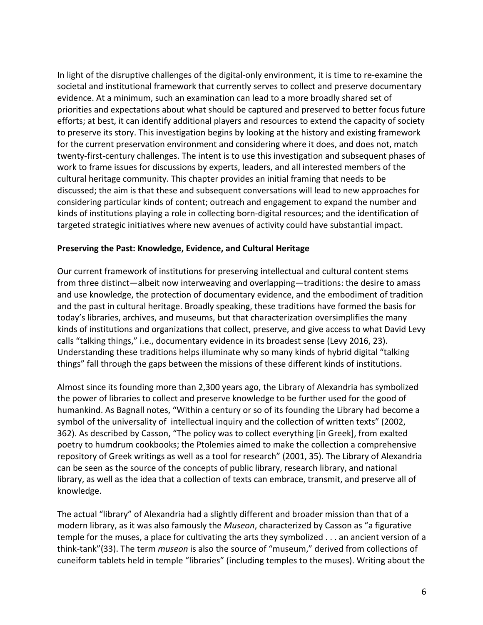In light of the disruptive challenges of the digital-only environment, it is time to re-examine the societal and institutional framework that currently serves to collect and preserve documentary evidence. At a minimum, such an examination can lead to a more broadly shared set of priorities and expectations about what should be captured and preserved to better focus future efforts; at best, it can identify additional players and resources to extend the capacity of society to preserve its story. This investigation begins by looking at the history and existing framework for the current preservation environment and considering where it does, and does not, match twenty-first-century challenges. The intent is to use this investigation and subsequent phases of work to frame issues for discussions by experts, leaders, and all interested members of the cultural heritage community. This chapter provides an initial framing that needs to be discussed; the aim is that these and subsequent conversations will lead to new approaches for considering particular kinds of content; outreach and engagement to expand the number and kinds of institutions playing a role in collecting born-digital resources; and the identification of targeted strategic initiatives where new avenues of activity could have substantial impact.

#### **Preserving the Past: Knowledge, Evidence, and Cultural Heritage**

Our current framework of institutions for preserving intellectual and cultural content stems from three distinct—albeit now interweaving and overlapping—traditions: the desire to amass and use knowledge, the protection of documentary evidence, and the embodiment of tradition and the past in cultural heritage. Broadly speaking, these traditions have formed the basis for today's libraries, archives, and museums, but that characterization oversimplifies the many kinds of institutions and organizations that collect, preserve, and give access to what David Levy calls "talking things," i.e., documentary evidence in its broadest sense (Levy 2016, 23). Understanding these traditions helps illuminate why so many kinds of hybrid digital "talking things" fall through the gaps between the missions of these different kinds of institutions.

Almost since its founding more than 2,300 years ago, the Library of Alexandria has symbolized the power of libraries to collect and preserve knowledge to be further used for the good of humankind. As Bagnall notes, "Within a century or so of its founding the Library had become a symbol of the universality of intellectual inquiry and the collection of written texts" (2002, 362). As described by Casson, "The policy was to collect everything [in Greek], from exalted poetry to humdrum cookbooks; the Ptolemies aimed to make the collection a comprehensive repository of Greek writings as well as a tool for research" (2001, 35). The Library of Alexandria can be seen as the source of the concepts of public library, research library, and national library, as well as the idea that a collection of texts can embrace, transmit, and preserve all of knowledge.

The actual "library" of Alexandria had a slightly different and broader mission than that of a modern library, as it was also famously the *Museon*, characterized by Casson as "a figurative temple for the muses, a place for cultivating the arts they symbolized . . . an ancient version of a think-tank"(33). The term *museon* is also the source of "museum," derived from collections of cuneiform tablets held in temple "libraries" (including temples to the muses). Writing about the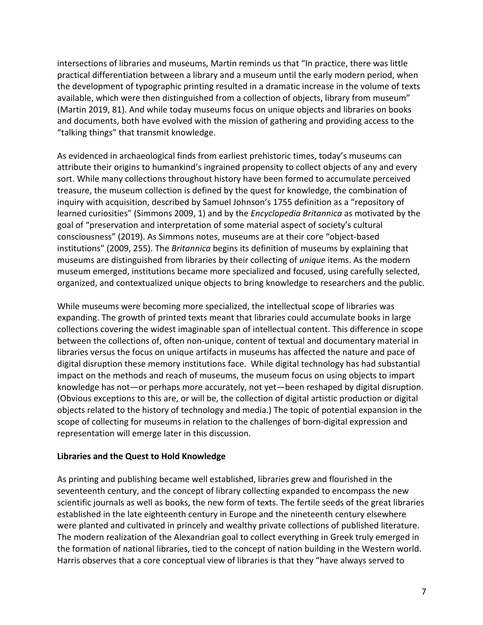intersections of libraries and museums, Martin reminds us that "In practice, there was little practical differentiation between a library and a museum until the early modern period, when the development of typographic printing resulted in a dramatic increase in the volume of texts available, which were then distinguished from a collection of objects, library from museum" (Martin 2019, 81). And while today museums focus on unique objects and libraries on books and documents, both have evolved with the mission of gathering and providing access to the "talking things" that transmit knowledge.

As evidenced in archaeological finds from earliest prehistoric times, today's museums can attribute their origins to humankind's ingrained propensity to collect objects of any and every sort. While many collections throughout history have been formed to accumulate perceived treasure, the museum collection is defined by the quest for knowledge, the combination of inquiry with acquisition, described by Samuel Johnson's 1755 definition as a "repository of learned curiosities" (Simmons 2009, 1) and by the *Encyclopedia Britannica* as motivated by the goal of "preservation and interpretation of some material aspect of society's cultural consciousness" (2019). As Simmons notes, museums are at their core "object-based institutions" (2009, 255). The *Britannica* begins its definition of museums by explaining that museums are distinguished from libraries by their collecting of *unique* items. As the modern museum emerged, institutions became more specialized and focused, using carefully selected, organized, and contextualized unique objects to bring knowledge to researchers and the public.

While museums were becoming more specialized, the intellectual scope of libraries was expanding. The growth of printed texts meant that libraries could accumulate books in large collections covering the widest imaginable span of intellectual content. This difference in scope between the collections of, often non-unique, content of textual and documentary material in libraries versus the focus on unique artifacts in museums has affected the nature and pace of digital disruption these memory institutions face. While digital technology has had substantial impact on the methods and reach of museums, the museum focus on using objects to impart knowledge has not—or perhaps more accurately, not yet—been reshaped by digital disruption. (Obvious exceptions to this are, or will be, the collection of digital artistic production or digital objects related to the history of technology and media.) The topic of potential expansion in the scope of collecting for museums in relation to the challenges of born-digital expression and representation will emerge later in this discussion.

#### **Libraries and the Quest to Hold Knowledge**

As printing and publishing became well established, libraries grew and flourished in the seventeenth century, and the concept of library collecting expanded to encompass the new scientific journals as well as books, the new form of texts. The fertile seeds of the great libraries established in the late eighteenth century in Europe and the nineteenth century elsewhere were planted and cultivated in princely and wealthy private collections of published literature. The modern realization of the Alexandrian goal to collect everything in Greek truly emerged in the formation of national libraries, tied to the concept of nation building in the Western world. Harris observes that a core conceptual view of libraries is that they "have always served to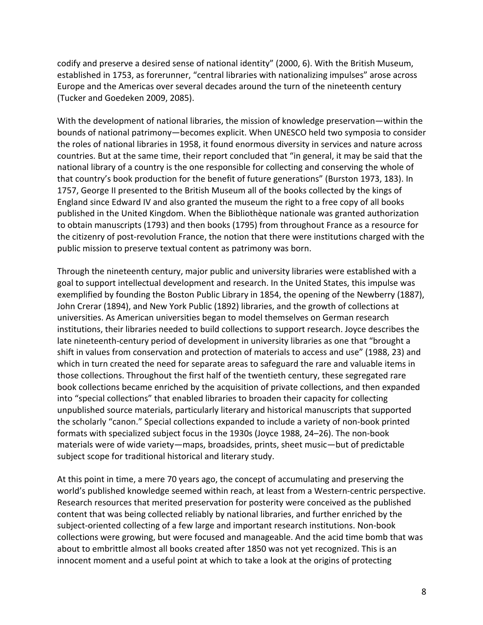codify and preserve a desired sense of national identity" (2000, 6). With the British Museum, established in 1753, as forerunner, "central libraries with nationalizing impulses" arose across Europe and the Americas over several decades around the turn of the nineteenth century (Tucker and Goedeken 2009, 2085).

With the development of national libraries, the mission of knowledge preservation—within the bounds of national patrimony—becomes explicit. When UNESCO held two symposia to consider the roles of national libraries in 1958, it found enormous diversity in services and nature across countries. But at the same time, their report concluded that "in general, it may be said that the national library of a country is the one responsible for collecting and conserving the whole of that country's book production for the benefit of future generations" (Burston 1973, 183). In 1757, George II presented to the British Museum all of the books collected by the kings of England since Edward IV and also granted the museum the right to a free copy of all books published in the United Kingdom. When the Bibliothèque nationale was granted authorization to obtain manuscripts (1793) and then books (1795) from throughout France as a resource for the citizenry of post-revolution France, the notion that there were institutions charged with the public mission to preserve textual content as patrimony was born.

Through the nineteenth century, major public and university libraries were established with a goal to support intellectual development and research. In the United States, this impulse was exemplified by founding the Boston Public Library in 1854, the opening of the Newberry (1887), John Crerar (1894), and New York Public (1892) libraries, and the growth of collections at universities. As American universities began to model themselves on German research institutions, their libraries needed to build collections to support research. Joyce describes the late nineteenth-century period of development in university libraries as one that "brought a shift in values from conservation and protection of materials to access and use" (1988, 23) and which in turn created the need for separate areas to safeguard the rare and valuable items in those collections. Throughout the first half of the twentieth century, these segregated rare book collections became enriched by the acquisition of private collections, and then expanded into "special collections" that enabled libraries to broaden their capacity for collecting unpublished source materials, particularly literary and historical manuscripts that supported the scholarly "canon." Special collections expanded to include a variety of non-book printed formats with specialized subject focus in the 1930s (Joyce 1988, 24–26). The non-book materials were of wide variety—maps, broadsides, prints, sheet music—but of predictable subject scope for traditional historical and literary study.

At this point in time, a mere 70 years ago, the concept of accumulating and preserving the world's published knowledge seemed within reach, at least from a Western-centric perspective. Research resources that merited preservation for posterity were conceived as the published content that was being collected reliably by national libraries, and further enriched by the subject-oriented collecting of a few large and important research institutions. Non-book collections were growing, but were focused and manageable. And the acid time bomb that was about to embrittle almost all books created after 1850 was not yet recognized. This is an innocent moment and a useful point at which to take a look at the origins of protecting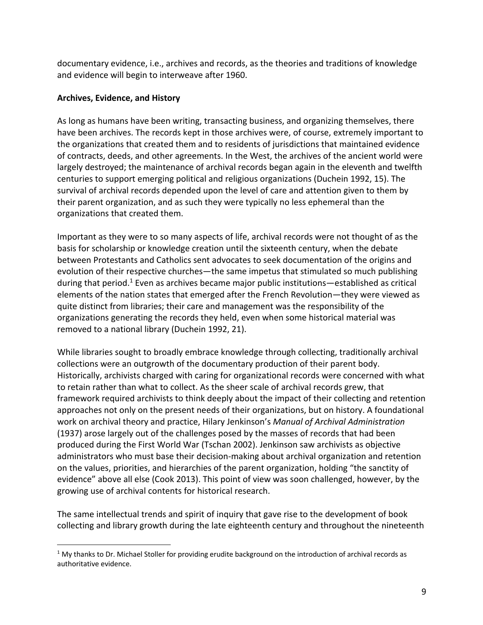documentary evidence, i.e., archives and records, as the theories and traditions of knowledge and evidence will begin to interweave after 1960.

#### **Archives, Evidence, and History**

As long as humans have been writing, transacting business, and organizing themselves, there have been archives. The records kept in those archives were, of course, extremely important to the organizations that created them and to residents of jurisdictions that maintained evidence of contracts, deeds, and other agreements. In the West, the archives of the ancient world were largely destroyed; the maintenance of archival records began again in the eleventh and twelfth centuries to support emerging political and religious organizations (Duchein 1992, 15). The survival of archival records depended upon the level of care and attention given to them by their parent organization, and as such they were typically no less ephemeral than the organizations that created them.

Important as they were to so many aspects of life, archival records were not thought of as the basis for scholarship or knowledge creation until the sixteenth century, when the debate between Protestants and Catholics sent advocates to seek documentation of the origins and evolution of their respective churches—the same impetus that stimulated so much publishing during that period.1 Even as archives became major public institutions—established as critical elements of the nation states that emerged after the French Revolution—they were viewed as quite distinct from libraries; their care and management was the responsibility of the organizations generating the records they held, even when some historical material was removed to a national library (Duchein 1992, 21).

While libraries sought to broadly embrace knowledge through collecting, traditionally archival collections were an outgrowth of the documentary production of their parent body. Historically, archivists charged with caring for organizational records were concerned with what to retain rather than what to collect. As the sheer scale of archival records grew, that framework required archivists to think deeply about the impact of their collecting and retention approaches not only on the present needs of their organizations, but on history. A foundational work on archival theory and practice, Hilary Jenkinson's *Manual of Archival Administration* (1937) arose largely out of the challenges posed by the masses of records that had been produced during the First World War (Tschan 2002). Jenkinson saw archivists as objective administrators who must base their decision-making about archival organization and retention on the values, priorities, and hierarchies of the parent organization, holding "the sanctity of evidence" above all else (Cook 2013). This point of view was soon challenged, however, by the growing use of archival contents for historical research.

The same intellectual trends and spirit of inquiry that gave rise to the development of book collecting and library growth during the late eighteenth century and throughout the nineteenth

 $1$  My thanks to Dr. Michael Stoller for providing erudite background on the introduction of archival records as authoritative evidence.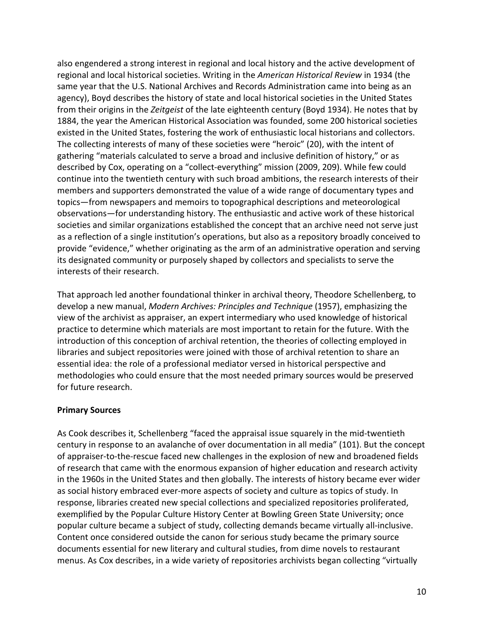also engendered a strong interest in regional and local history and the active development of regional and local historical societies. Writing in the *American Historical Review* in 1934 (the same year that the U.S. National Archives and Records Administration came into being as an agency), Boyd describes the history of state and local historical societies in the United States from their origins in the *Zeitgeist* of the late eighteenth century (Boyd 1934). He notes that by 1884, the year the American Historical Association was founded, some 200 historical societies existed in the United States, fostering the work of enthusiastic local historians and collectors. The collecting interests of many of these societies were "heroic" (20), with the intent of gathering "materials calculated to serve a broad and inclusive definition of history," or as described by Cox, operating on a "collect-everything" mission (2009, 209). While few could continue into the twentieth century with such broad ambitions, the research interests of their members and supporters demonstrated the value of a wide range of documentary types and topics—from newspapers and memoirs to topographical descriptions and meteorological observations—for understanding history. The enthusiastic and active work of these historical societies and similar organizations established the concept that an archive need not serve just as a reflection of a single institution's operations, but also as a repository broadly conceived to provide "evidence," whether originating as the arm of an administrative operation and serving its designated community or purposely shaped by collectors and specialists to serve the interests of their research.

That approach led another foundational thinker in archival theory, Theodore Schellenberg, to develop a new manual, *Modern Archives: Principles and Technique* (1957), emphasizing the view of the archivist as appraiser, an expert intermediary who used knowledge of historical practice to determine which materials are most important to retain for the future. With the introduction of this conception of archival retention, the theories of collecting employed in libraries and subject repositories were joined with those of archival retention to share an essential idea: the role of a professional mediator versed in historical perspective and methodologies who could ensure that the most needed primary sources would be preserved for future research.

#### **Primary Sources**

As Cook describes it, Schellenberg "faced the appraisal issue squarely in the mid-twentieth century in response to an avalanche of over documentation in all media" (101). But the concept of appraiser-to-the-rescue faced new challenges in the explosion of new and broadened fields of research that came with the enormous expansion of higher education and research activity in the 1960s in the United States and then globally. The interests of history became ever wider as social history embraced ever-more aspects of society and culture as topics of study. In response, libraries created new special collections and specialized repositories proliferated, exemplified by the Popular Culture History Center at Bowling Green State University; once popular culture became a subject of study, collecting demands became virtually all-inclusive. Content once considered outside the canon for serious study became the primary source documents essential for new literary and cultural studies, from dime novels to restaurant menus. As Cox describes, in a wide variety of repositories archivists began collecting "virtually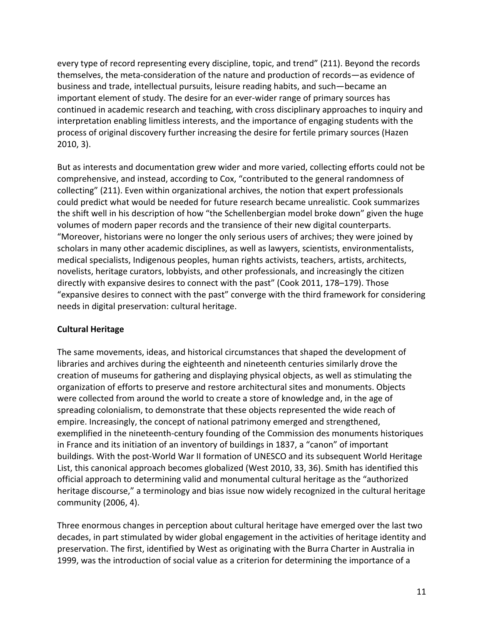every type of record representing every discipline, topic, and trend" (211). Beyond the records themselves, the meta-consideration of the nature and production of records—as evidence of business and trade, intellectual pursuits, leisure reading habits, and such—became an important element of study. The desire for an ever-wider range of primary sources has continued in academic research and teaching, with cross disciplinary approaches to inquiry and interpretation enabling limitless interests, and the importance of engaging students with the process of original discovery further increasing the desire for fertile primary sources (Hazen 2010, 3).

But as interests and documentation grew wider and more varied, collecting efforts could not be comprehensive, and instead, according to Cox, "contributed to the general randomness of collecting" (211). Even within organizational archives, the notion that expert professionals could predict what would be needed for future research became unrealistic. Cook summarizes the shift well in his description of how "the Schellenbergian model broke down" given the huge volumes of modern paper records and the transience of their new digital counterparts. "Moreover, historians were no longer the only serious users of archives; they were joined by scholars in many other academic disciplines, as well as lawyers, scientists, environmentalists, medical specialists, Indigenous peoples, human rights activists, teachers, artists, architects, novelists, heritage curators, lobbyists, and other professionals, and increasingly the citizen directly with expansive desires to connect with the past" (Cook 2011, 178–179). Those "expansive desires to connect with the past" converge with the third framework for considering needs in digital preservation: cultural heritage.

## **Cultural Heritage**

The same movements, ideas, and historical circumstances that shaped the development of libraries and archives during the eighteenth and nineteenth centuries similarly drove the creation of museums for gathering and displaying physical objects, as well as stimulating the organization of efforts to preserve and restore architectural sites and monuments. Objects were collected from around the world to create a store of knowledge and, in the age of spreading colonialism, to demonstrate that these objects represented the wide reach of empire. Increasingly, the concept of national patrimony emerged and strengthened, exemplified in the nineteenth-century founding of the Commission des monuments historiques in France and its initiation of an inventory of buildings in 1837, a "canon" of important buildings. With the post-World War II formation of UNESCO and its subsequent World Heritage List, this canonical approach becomes globalized (West 2010, 33, 36). Smith has identified this official approach to determining valid and monumental cultural heritage as the "authorized heritage discourse," a terminology and bias issue now widely recognized in the cultural heritage community (2006, 4).

Three enormous changes in perception about cultural heritage have emerged over the last two decades, in part stimulated by wider global engagement in the activities of heritage identity and preservation. The first, identified by West as originating with the Burra Charter in Australia in 1999, was the introduction of social value as a criterion for determining the importance of a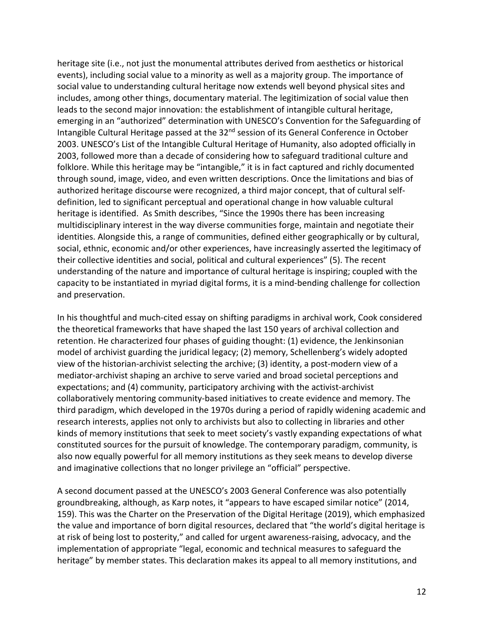heritage site (i.e., not just the monumental attributes derived from aesthetics or historical events), including social value to a minority as well as a majority group. The importance of social value to understanding cultural heritage now extends well beyond physical sites and includes, among other things, documentary material. The legitimization of social value then leads to the second major innovation: the establishment of intangible cultural heritage, emerging in an "authorized" determination with UNESCO's Convention for the Safeguarding of Intangible Cultural Heritage passed at the 32<sup>nd</sup> session of its General Conference in October 2003. UNESCO's List of the Intangible Cultural Heritage of Humanity, also adopted officially in 2003, followed more than a decade of considering how to safeguard traditional culture and folklore. While this heritage may be "intangible," it is in fact captured and richly documented through sound, image, video, and even written descriptions. Once the limitations and bias of authorized heritage discourse were recognized, a third major concept, that of cultural selfdefinition, led to significant perceptual and operational change in how valuable cultural heritage is identified. As Smith describes, "Since the 1990s there has been increasing multidisciplinary interest in the way diverse communities forge, maintain and negotiate their identities. Alongside this, a range of communities, defined either geographically or by cultural, social, ethnic, economic and/or other experiences, have increasingly asserted the legitimacy of their collective identities and social, political and cultural experiences" (5). The recent understanding of the nature and importance of cultural heritage is inspiring; coupled with the capacity to be instantiated in myriad digital forms, it is a mind-bending challenge for collection and preservation.

In his thoughtful and much-cited essay on shifting paradigms in archival work, Cook considered the theoretical frameworks that have shaped the last 150 years of archival collection and retention. He characterized four phases of guiding thought: (1) evidence, the Jenkinsonian model of archivist guarding the juridical legacy; (2) memory, Schellenberg's widely adopted view of the historian-archivist selecting the archive; (3) identity, a post-modern view of a mediator-archivist shaping an archive to serve varied and broad societal perceptions and expectations; and (4) community, participatory archiving with the activist-archivist collaboratively mentoring community-based initiatives to create evidence and memory. The third paradigm, which developed in the 1970s during a period of rapidly widening academic and research interests, applies not only to archivists but also to collecting in libraries and other kinds of memory institutions that seek to meet society's vastly expanding expectations of what constituted sources for the pursuit of knowledge. The contemporary paradigm, community, is also now equally powerful for all memory institutions as they seek means to develop diverse and imaginative collections that no longer privilege an "official" perspective.

A second document passed at the UNESCO's 2003 General Conference was also potentially groundbreaking, although, as Karp notes, it "appears to have escaped similar notice" (2014, 159). This was the Charter on the Preservation of the Digital Heritage (2019), which emphasized the value and importance of born digital resources, declared that "the world's digital heritage is at risk of being lost to posterity," and called for urgent awareness-raising, advocacy, and the implementation of appropriate "legal, economic and technical measures to safeguard the heritage" by member states. This declaration makes its appeal to all memory institutions, and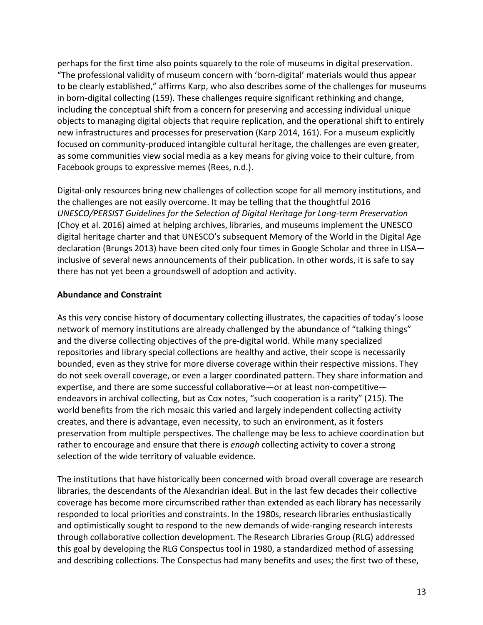perhaps for the first time also points squarely to the role of museums in digital preservation. "The professional validity of museum concern with 'born-digital' materials would thus appear to be clearly established," affirms Karp, who also describes some of the challenges for museums in born-digital collecting (159). These challenges require significant rethinking and change, including the conceptual shift from a concern for preserving and accessing individual unique objects to managing digital objects that require replication, and the operational shift to entirely new infrastructures and processes for preservation (Karp 2014, 161). For a museum explicitly focused on community-produced intangible cultural heritage, the challenges are even greater, as some communities view social media as a key means for giving voice to their culture, from Facebook groups to expressive memes (Rees, n.d.).

Digital-only resources bring new challenges of collection scope for all memory institutions, and the challenges are not easily overcome. It may be telling that the thoughtful 2016 *UNESCO/PERSIST Guidelines for the Selection of Digital Heritage for Long-term Preservation* (Choy et al. 2016) aimed at helping archives, libraries, and museums implement the UNESCO digital heritage charter and that UNESCO's subsequent Memory of the World in the Digital Age declaration (Brungs 2013) have been cited only four times in Google Scholar and three in LISA inclusive of several news announcements of their publication. In other words, it is safe to say there has not yet been a groundswell of adoption and activity.

## **Abundance and Constraint**

As this very concise history of documentary collecting illustrates, the capacities of today's loose network of memory institutions are already challenged by the abundance of "talking things" and the diverse collecting objectives of the pre-digital world. While many specialized repositories and library special collections are healthy and active, their scope is necessarily bounded, even as they strive for more diverse coverage within their respective missions. They do not seek overall coverage, or even a larger coordinated pattern. They share information and expertise, and there are some successful collaborative—or at least non-competitive endeavors in archival collecting, but as Cox notes, "such cooperation is a rarity" (215). The world benefits from the rich mosaic this varied and largely independent collecting activity creates, and there is advantage, even necessity, to such an environment, as it fosters preservation from multiple perspectives. The challenge may be less to achieve coordination but rather to encourage and ensure that there is *enough* collecting activity to cover a strong selection of the wide territory of valuable evidence.

The institutions that have historically been concerned with broad overall coverage are research libraries, the descendants of the Alexandrian ideal. But in the last few decades their collective coverage has become more circumscribed rather than extended as each library has necessarily responded to local priorities and constraints. In the 1980s, research libraries enthusiastically and optimistically sought to respond to the new demands of wide-ranging research interests through collaborative collection development. The Research Libraries Group (RLG) addressed this goal by developing the RLG Conspectus tool in 1980, a standardized method of assessing and describing collections. The Conspectus had many benefits and uses; the first two of these,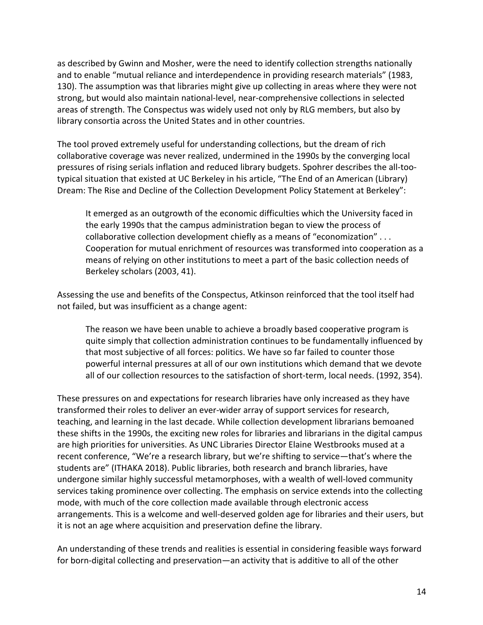as described by Gwinn and Mosher, were the need to identify collection strengths nationally and to enable "mutual reliance and interdependence in providing research materials" (1983, 130). The assumption was that libraries might give up collecting in areas where they were not strong, but would also maintain national-level, near-comprehensive collections in selected areas of strength. The Conspectus was widely used not only by RLG members, but also by library consortia across the United States and in other countries.

The tool proved extremely useful for understanding collections, but the dream of rich collaborative coverage was never realized, undermined in the 1990s by the converging local pressures of rising serials inflation and reduced library budgets. Spohrer describes the all-tootypical situation that existed at UC Berkeley in his article, "The End of an American (Library) Dream: The Rise and Decline of the Collection Development Policy Statement at Berkeley":

It emerged as an outgrowth of the economic difficulties which the University faced in the early 1990s that the campus administration began to view the process of collaborative collection development chiefly as a means of "economization" . . . Cooperation for mutual enrichment of resources was transformed into cooperation as a means of relying on other institutions to meet a part of the basic collection needs of Berkeley scholars (2003, 41).

Assessing the use and benefits of the Conspectus, Atkinson reinforced that the tool itself had not failed, but was insufficient as a change agent:

The reason we have been unable to achieve a broadly based cooperative program is quite simply that collection administration continues to be fundamentally influenced by that most subjective of all forces: politics. We have so far failed to counter those powerful internal pressures at all of our own institutions which demand that we devote all of our collection resources to the satisfaction of short-term, local needs. (1992, 354).

These pressures on and expectations for research libraries have only increased as they have transformed their roles to deliver an ever-wider array of support services for research, teaching, and learning in the last decade. While collection development librarians bemoaned these shifts in the 1990s, the exciting new roles for libraries and librarians in the digital campus are high priorities for universities. As UNC Libraries Director Elaine Westbrooks mused at a recent conference, "We're a research library, but we're shifting to service—that's where the students are" (ITHAKA 2018). Public libraries, both research and branch libraries, have undergone similar highly successful metamorphoses, with a wealth of well-loved community services taking prominence over collecting. The emphasis on service extends into the collecting mode, with much of the core collection made available through electronic access arrangements. This is a welcome and well-deserved golden age for libraries and their users, but it is not an age where acquisition and preservation define the library.

An understanding of these trends and realities is essential in considering feasible ways forward for born-digital collecting and preservation—an activity that is additive to all of the other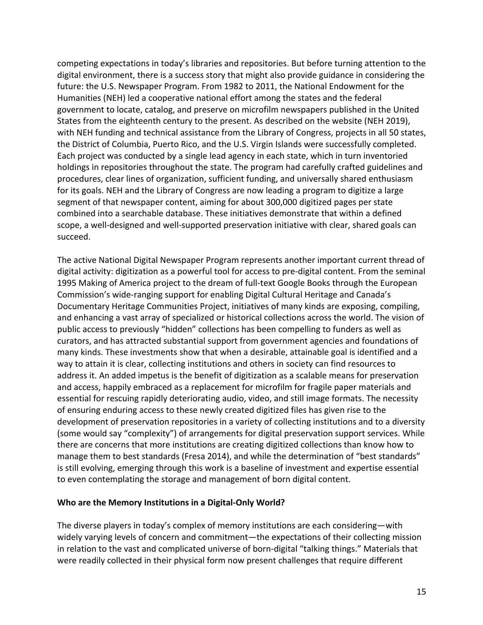competing expectations in today's libraries and repositories. But before turning attention to the digital environment, there is a success story that might also provide guidance in considering the future: the U.S. Newspaper Program. From 1982 to 2011, the National Endowment for the Humanities (NEH) led a cooperative national effort among the states and the federal government to locate, catalog, and preserve on microfilm newspapers published in the United States from the eighteenth century to the present. As described on the website (NEH 2019), with NEH funding and technical assistance from the Library of Congress, projects in all 50 states, the District of Columbia, Puerto Rico, and the U.S. Virgin Islands were successfully completed. Each project was conducted by a single lead agency in each state, which in turn inventoried holdings in repositories throughout the state. The program had carefully crafted guidelines and procedures, clear lines of organization, sufficient funding, and universally shared enthusiasm for its goals. NEH and the Library of Congress are now leading a program to digitize a large segment of that newspaper content, aiming for about 300,000 digitized pages per state combined into a searchable database. These initiatives demonstrate that within a defined scope, a well-designed and well-supported preservation initiative with clear, shared goals can succeed.

The active National Digital Newspaper Program represents another important current thread of digital activity: digitization as a powerful tool for access to pre-digital content. From the seminal 1995 Making of America project to the dream of full-text Google Books through the European Commission's wide-ranging support for enabling Digital Cultural Heritage and Canada's Documentary Heritage Communities Project, initiatives of many kinds are exposing, compiling, and enhancing a vast array of specialized or historical collections across the world. The vision of public access to previously "hidden" collections has been compelling to funders as well as curators, and has attracted substantial support from government agencies and foundations of many kinds. These investments show that when a desirable, attainable goal is identified and a way to attain it is clear, collecting institutions and others in society can find resources to address it. An added impetus is the benefit of digitization as a scalable means for preservation and access, happily embraced as a replacement for microfilm for fragile paper materials and essential for rescuing rapidly deteriorating audio, video, and still image formats. The necessity of ensuring enduring access to these newly created digitized files has given rise to the development of preservation repositories in a variety of collecting institutions and to a diversity (some would say "complexity") of arrangements for digital preservation support services. While there are concerns that more institutions are creating digitized collections than know how to manage them to best standards (Fresa 2014), and while the determination of "best standards" is still evolving, emerging through this work is a baseline of investment and expertise essential to even contemplating the storage and management of born digital content.

#### **Who are the Memory Institutions in a Digital-Only World?**

The diverse players in today's complex of memory institutions are each considering—with widely varying levels of concern and commitment—the expectations of their collecting mission in relation to the vast and complicated universe of born-digital "talking things." Materials that were readily collected in their physical form now present challenges that require different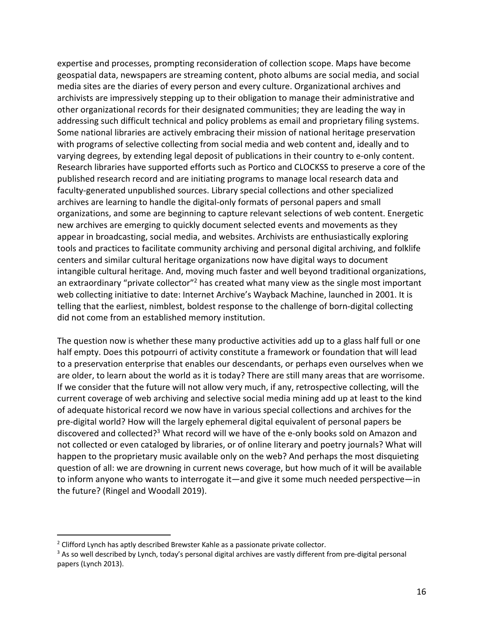expertise and processes, prompting reconsideration of collection scope. Maps have become geospatial data, newspapers are streaming content, photo albums are social media, and social media sites are the diaries of every person and every culture. Organizational archives and archivists are impressively stepping up to their obligation to manage their administrative and other organizational records for their designated communities; they are leading the way in addressing such difficult technical and policy problems as email and proprietary filing systems. Some national libraries are actively embracing their mission of national heritage preservation with programs of selective collecting from social media and web content and, ideally and to varying degrees, by extending legal deposit of publications in their country to e-only content. Research libraries have supported efforts such as Portico and CLOCKSS to preserve a core of the published research record and are initiating programs to manage local research data and faculty-generated unpublished sources. Library special collections and other specialized archives are learning to handle the digital-only formats of personal papers and small organizations, and some are beginning to capture relevant selections of web content. Energetic new archives are emerging to quickly document selected events and movements as they appear in broadcasting, social media, and websites. Archivists are enthusiastically exploring tools and practices to facilitate community archiving and personal digital archiving, and folklife centers and similar cultural heritage organizations now have digital ways to document intangible cultural heritage. And, moving much faster and well beyond traditional organizations, an extraordinary "private collector"<sup>2</sup> has created what many view as the single most important web collecting initiative to date: Internet Archive's Wayback Machine, launched in 2001. It is telling that the earliest, nimblest, boldest response to the challenge of born-digital collecting did not come from an established memory institution.

The question now is whether these many productive activities add up to a glass half full or one half empty. Does this potpourri of activity constitute a framework or foundation that will lead to a preservation enterprise that enables our descendants, or perhaps even ourselves when we are older, to learn about the world as it is today? There are still many areas that are worrisome. If we consider that the future will not allow very much, if any, retrospective collecting, will the current coverage of web archiving and selective social media mining add up at least to the kind of adequate historical record we now have in various special collections and archives for the pre-digital world? How will the largely ephemeral digital equivalent of personal papers be discovered and collected?<sup>3</sup> What record will we have of the e-only books sold on Amazon and not collected or even cataloged by libraries, or of online literary and poetry journals? What will happen to the proprietary music available only on the web? And perhaps the most disquieting question of all: we are drowning in current news coverage, but how much of it will be available to inform anyone who wants to interrogate it—and give it some much needed perspective—in the future? (Ringel and Woodall 2019).

<sup>&</sup>lt;sup>2</sup> Clifford Lynch has aptly described Brewster Kahle as a passionate private collector.

<sup>&</sup>lt;sup>3</sup> As so well described by Lynch, today's personal digital archives are vastly different from pre-digital personal papers (Lynch 2013).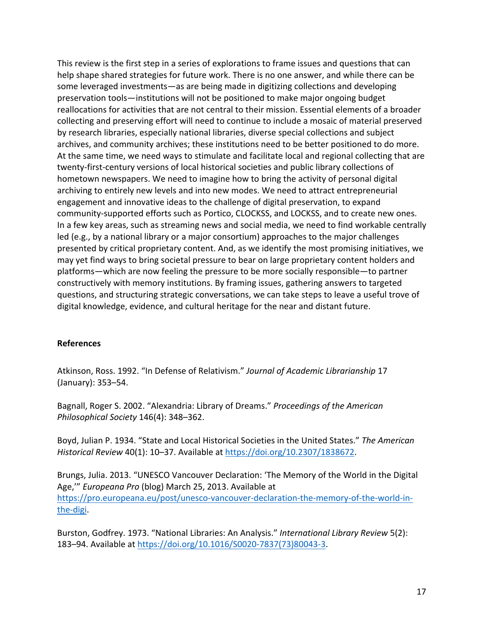This review is the first step in a series of explorations to frame issues and questions that can help shape shared strategies for future work. There is no one answer, and while there can be some leveraged investments—as are being made in digitizing collections and developing preservation tools—institutions will not be positioned to make major ongoing budget reallocations for activities that are not central to their mission. Essential elements of a broader collecting and preserving effort will need to continue to include a mosaic of material preserved by research libraries, especially national libraries, diverse special collections and subject archives, and community archives; these institutions need to be better positioned to do more. At the same time, we need ways to stimulate and facilitate local and regional collecting that are twenty-first-century versions of local historical societies and public library collections of hometown newspapers. We need to imagine how to bring the activity of personal digital archiving to entirely new levels and into new modes. We need to attract entrepreneurial engagement and innovative ideas to the challenge of digital preservation, to expand community-supported efforts such as Portico, CLOCKSS, and LOCKSS, and to create new ones. In a few key areas, such as streaming news and social media, we need to find workable centrally led (e.g., by a national library or a major consortium) approaches to the major challenges presented by critical proprietary content. And, as we identify the most promising initiatives, we may yet find ways to bring societal pressure to bear on large proprietary content holders and platforms—which are now feeling the pressure to be more socially responsible—to partner constructively with memory institutions. By framing issues, gathering answers to targeted questions, and structuring strategic conversations, we can take steps to leave a useful trove of digital knowledge, evidence, and cultural heritage for the near and distant future.

#### **References**

Atkinson, Ross. 1992. "In Defense of Relativism." *Journal of Academic Librarianship* 17 (January): 353–54.

Bagnall, Roger S. 2002. "Alexandria: Library of Dreams." *Proceedings of the American Philosophical Society* 146(4): 348–362.

Boyd, Julian P. 1934. "State and Local Historical Societies in the United States." *The American Historical Review* 40(1): 10–37. Available at https://doi.org/10.2307/1838672.

Brungs, Julia. 2013. "UNESCO Vancouver Declaration: 'The Memory of the World in the Digital Age,'" *Europeana Pro* (blog) March 25, 2013. Available at https://pro.europeana.eu/post/unesco-vancouver-declaration-the-memory-of-the-world-inthe-digi.

Burston, Godfrey. 1973. "National Libraries: An Analysis." *International Library Review* 5(2): 183–94. Available at https://doi.org/10.1016/S0020-7837(73)80043-3.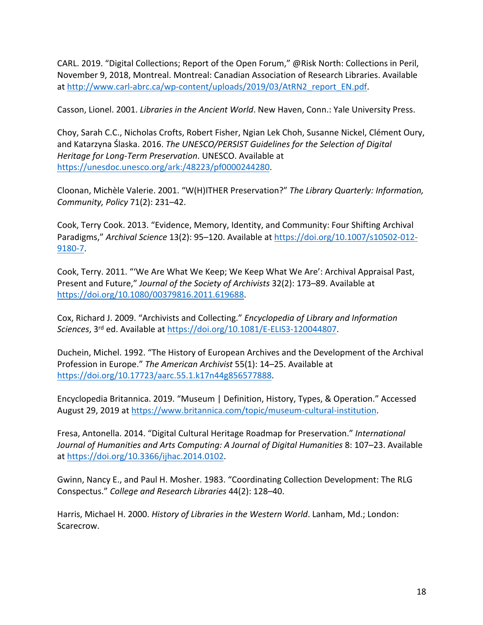CARL. 2019. "Digital Collections; Report of the Open Forum," @Risk North: Collections in Peril, November 9, 2018, Montreal. Montreal: Canadian Association of Research Libraries. Available at http://www.carl-abrc.ca/wp-content/uploads/2019/03/AtRN2\_report\_EN.pdf.

Casson, Lionel. 2001. *Libraries in the Ancient World*. New Haven, Conn.: Yale University Press.

Choy, Sarah C.C., Nicholas Crofts, Robert Fisher, Ngian Lek Choh, Susanne Nickel, Clément Oury, and Katarzyna Ślaska. 2016. *The UNESCO/PERSIST Guidelines for the Selection of Digital Heritage for Long-Term Preservation*. UNESCO. Available at https://unesdoc.unesco.org/ark:/48223/pf0000244280.

Cloonan, Michèle Valerie. 2001. "W(H)ITHER Preservation?" *The Library Quarterly: Information, Community, Policy* 71(2): 231–42.

Cook, Terry Cook. 2013. "Evidence, Memory, Identity, and Community: Four Shifting Archival Paradigms," *Archival Science* 13(2): 95–120. Available at https://doi.org/10.1007/s10502-012- 9180-7.

Cook, Terry. 2011. "'We Are What We Keep; We Keep What We Are': Archival Appraisal Past, Present and Future," *Journal of the Society of Archivists* 32(2): 173–89. Available at https://doi.org/10.1080/00379816.2011.619688.

Cox, Richard J. 2009. "Archivists and Collecting." *Encyclopedia of Library and Information Sciences*, 3rd ed. Available at https://doi.org/10.1081/E-ELIS3-120044807.

Duchein, Michel. 1992. "The History of European Archives and the Development of the Archival Profession in Europe." *The American Archivist* 55(1): 14–25. Available at https://doi.org/10.17723/aarc.55.1.k17n44g856577888.

Encyclopedia Britannica. 2019. "Museum | Definition, History, Types, & Operation." Accessed August 29, 2019 at https://www.britannica.com/topic/museum-cultural-institution.

Fresa, Antonella. 2014. "Digital Cultural Heritage Roadmap for Preservation." *International Journal of Humanities and Arts Computing: A Journal of Digital Humanities* 8: 107–23. Available at https://doi.org/10.3366/ijhac.2014.0102.

Gwinn, Nancy E., and Paul H. Mosher. 1983. "Coordinating Collection Development: The RLG Conspectus." *College and Research Libraries* 44(2): 128–40.

Harris, Michael H. 2000. *History of Libraries in the Western World*. Lanham, Md.; London: Scarecrow.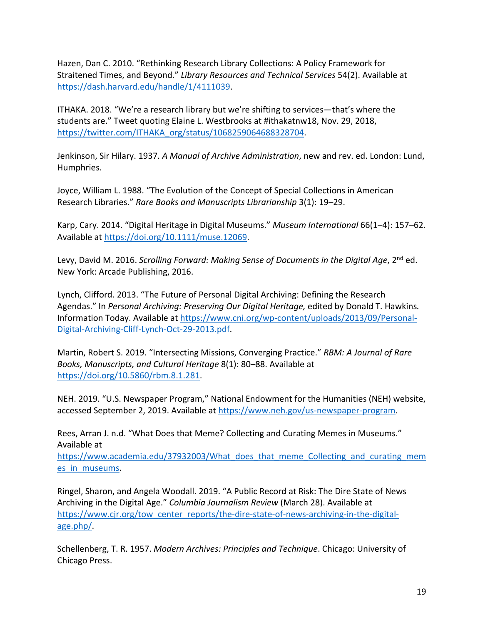Hazen, Dan C. 2010. "Rethinking Research Library Collections: A Policy Framework for Straitened Times, and Beyond." *Library Resources and Technical Services* 54(2). Available at https://dash.harvard.edu/handle/1/4111039.

ITHAKA. 2018. "We're a research library but we're shifting to services—that's where the students are." Tweet quoting Elaine L. Westbrooks at #ithakatnw18, Nov. 29, 2018, https://twitter.com/ITHAKA\_org/status/1068259064688328704.

Jenkinson, Sir Hilary. 1937. *A Manual of Archive Administration*, new and rev. ed. London: Lund, Humphries.

Joyce, William L. 1988. "The Evolution of the Concept of Special Collections in American Research Libraries." *Rare Books and Manuscripts Librarianship* 3(1): 19–29.

Karp, Cary. 2014. "Digital Heritage in Digital Museums." *Museum International* 66(1–4): 157–62. Available at https://doi.org/10.1111/muse.12069.

Levy, David M. 2016. *Scrolling Forward: Making Sense of Documents in the Digital Age*, 2<sup>nd</sup> ed. New York: Arcade Publishing, 2016.

Lynch, Clifford. 2013. "The Future of Personal Digital Archiving: Defining the Research Agendas." In *Personal Archiving: Preserving Our Digital Heritage,* edited by Donald T. Hawkins*.*  Information Today. Available at https://www.cni.org/wp-content/uploads/2013/09/Personal-Digital-Archiving-Cliff-Lynch-Oct-29-2013.pdf.

Martin, Robert S. 2019. "Intersecting Missions, Converging Practice." *RBM: A Journal of Rare Books, Manuscripts, and Cultural Heritage* 8(1): 80–88. Available at https://doi.org/10.5860/rbm.8.1.281.

NEH. 2019. "U.S. Newspaper Program," National Endowment for the Humanities (NEH) website, accessed September 2, 2019. Available at https://www.neh.gov/us-newspaper-program.

Rees, Arran J. n.d. "What Does that Meme? Collecting and Curating Memes in Museums." Available at

https://www.academia.edu/37932003/What\_does\_that\_meme\_Collecting\_and\_curating\_mem es\_in\_museums.

Ringel, Sharon, and Angela Woodall. 2019. "A Public Record at Risk: The Dire State of News Archiving in the Digital Age." *Columbia Journalism Review* (March 28). Available at https://www.cjr.org/tow\_center\_reports/the-dire-state-of-news-archiving-in-the-digitalage.php/.

Schellenberg, T. R. 1957. *Modern Archives: Principles and Technique*. Chicago: University of Chicago Press.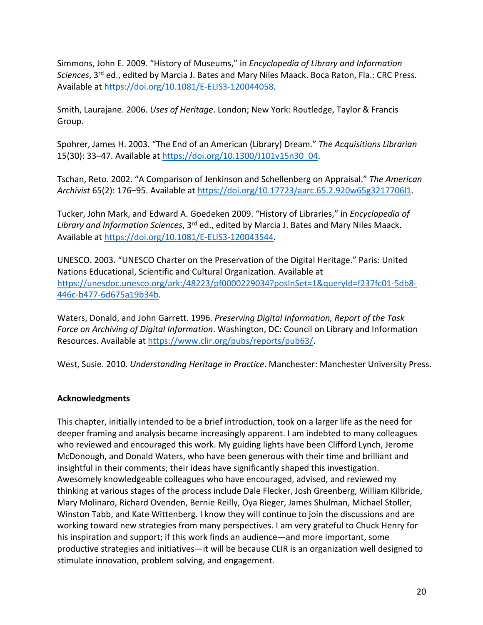Simmons, John E. 2009. "History of Museums," in *Encyclopedia of Library and Information Sciences*, 3rd ed., edited by Marcia J. Bates and Mary Niles Maack. Boca Raton, Fla.: CRC Press. Available at https://doi.org/10.1081/E-ELIS3-120044058.

Smith, Laurajane. 2006. *Uses of Heritage*. London; New York: Routledge, Taylor & Francis Group.

Spohrer, James H. 2003. "The End of an American (Library) Dream." *The Acquisitions Librarian* 15(30): 33-47. Available at https://doi.org/10.1300/J101v15n30\_04.

Tschan, Reto. 2002. "A Comparison of Jenkinson and Schellenberg on Appraisal." *The American Archivist* 65(2): 176–95. Available at https://doi.org/10.17723/aarc.65.2.920w65g3217706l1.

Tucker, John Mark, and Edward A. Goedeken 2009. "History of Libraries," in *Encyclopedia of Library and Information Sciences*, 3rd ed., edited by Marcia J. Bates and Mary Niles Maack. Available at https://doi.org/10.1081/E-ELIS3-120043544.

UNESCO. 2003. "UNESCO Charter on the Preservation of the Digital Heritage." Paris: United Nations Educational, Scientific and Cultural Organization. Available at https://unesdoc.unesco.org/ark:/48223/pf0000229034?posInSet=1&queryId=f237fc01-5db8- 446c-b477-6d675a19b34b.

Waters, Donald, and John Garrett. 1996. *Preserving Digital Information, Report of the Task Force on Archiving of Digital Information*. Washington, DC: Council on Library and Information Resources. Available at https://www.clir.org/pubs/reports/pub63/.

West, Susie. 2010. *Understanding Heritage in Practice*. Manchester: Manchester University Press.

## **Acknowledgments**

This chapter, initially intended to be a brief introduction, took on a larger life as the need for deeper framing and analysis became increasingly apparent. I am indebted to many colleagues who reviewed and encouraged this work. My guiding lights have been Clifford Lynch, Jerome McDonough, and Donald Waters, who have been generous with their time and brilliant and insightful in their comments; their ideas have significantly shaped this investigation. Awesomely knowledgeable colleagues who have encouraged, advised, and reviewed my thinking at various stages of the process include Dale Flecker, Josh Greenberg, William Kilbride, Mary Molinaro, Richard Ovenden, Bernie Reilly, Oya Rieger, James Shulman, Michael Stoller, Winston Tabb, and Kate Wittenberg. I know they will continue to join the discussions and are working toward new strategies from many perspectives. I am very grateful to Chuck Henry for his inspiration and support; if this work finds an audience—and more important, some productive strategies and initiatives—it will be because CLIR is an organization well designed to stimulate innovation, problem solving, and engagement.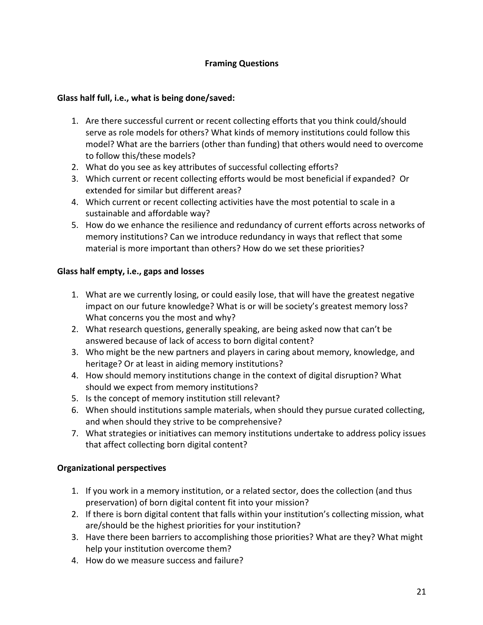# **Framing Questions**

### **Glass half full, i.e., what is being done/saved:**

- 1. Are there successful current or recent collecting efforts that you think could/should serve as role models for others? What kinds of memory institutions could follow this model? What are the barriers (other than funding) that others would need to overcome to follow this/these models?
- 2. What do you see as key attributes of successful collecting efforts?
- 3. Which current or recent collecting efforts would be most beneficial if expanded? Or extended for similar but different areas?
- 4. Which current or recent collecting activities have the most potential to scale in a sustainable and affordable way?
- 5. How do we enhance the resilience and redundancy of current efforts across networks of memory institutions? Can we introduce redundancy in ways that reflect that some material is more important than others? How do we set these priorities?

#### **Glass half empty, i.e., gaps and losses**

- 1. What are we currently losing, or could easily lose, that will have the greatest negative impact on our future knowledge? What is or will be society's greatest memory loss? What concerns you the most and why?
- 2. What research questions, generally speaking, are being asked now that can't be answered because of lack of access to born digital content?
- 3. Who might be the new partners and players in caring about memory, knowledge, and heritage? Or at least in aiding memory institutions?
- 4. How should memory institutions change in the context of digital disruption? What should we expect from memory institutions?
- 5. Is the concept of memory institution still relevant?
- 6. When should institutions sample materials, when should they pursue curated collecting, and when should they strive to be comprehensive?
- 7. What strategies or initiatives can memory institutions undertake to address policy issues that affect collecting born digital content?

## **Organizational perspectives**

- 1. If you work in a memory institution, or a related sector, does the collection (and thus preservation) of born digital content fit into your mission?
- 2. If there is born digital content that falls within your institution's collecting mission, what are/should be the highest priorities for your institution?
- 3. Have there been barriers to accomplishing those priorities? What are they? What might help your institution overcome them?
- 4. How do we measure success and failure?